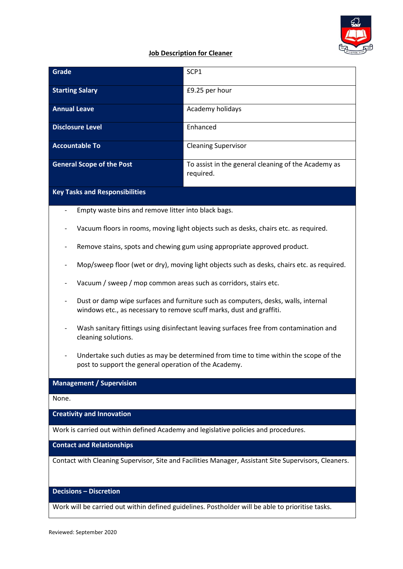

## **Job Description for Cleaner**

| Grade                            | SCP <sub>1</sub>                                                 |
|----------------------------------|------------------------------------------------------------------|
| <b>Starting Salary</b>           | £9.25 per hour                                                   |
| <b>Annual Leave</b>              | Academy holidays                                                 |
| <b>Disclosure Level</b>          | Enhanced                                                         |
| <b>Accountable To</b>            | <b>Cleaning Supervisor</b>                                       |
| <b>General Scope of the Post</b> | To assist in the general cleaning of the Academy as<br>required. |

# **Key Tasks and Responsibilities**

- Empty waste bins and remove litter into black bags.
- Vacuum floors in rooms, moving light objects such as desks, chairs etc. as required.
- Remove stains, spots and chewing gum using appropriate approved product.
- Mop/sweep floor (wet or dry), moving light objects such as desks, chairs etc. as required.
- Vacuum / sweep / mop common areas such as corridors, stairs etc.
- Dust or damp wipe surfaces and furniture such as computers, desks, walls, internal windows etc., as necessary to remove scuff marks, dust and graffiti.
- Wash sanitary fittings using disinfectant leaving surfaces free from contamination and cleaning solutions.
- Undertake such duties as may be determined from time to time within the scope of the post to support the general operation of the Academy.

## **Management / Supervision**

None.

**Creativity and Innovation**

Work is carried out within defined Academy and legislative policies and procedures.

**Contact and Relationships**

Contact with Cleaning Supervisor, Site and Facilities Manager, Assistant Site Supervisors, Cleaners.

**Decisions – Discretion**

Work will be carried out within defined guidelines. Postholder will be able to prioritise tasks.